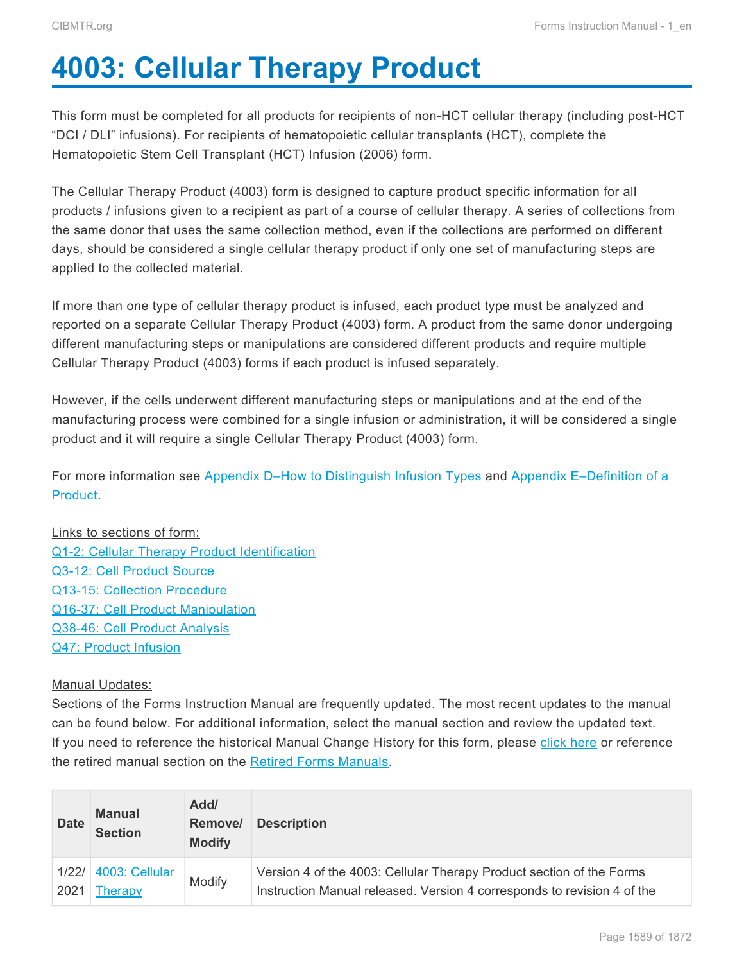# <span id="page-0-0"></span>**4003: Cellular Therapy Product**

This form must be completed for all products for recipients of non-HCT cellular therapy (including post-HCT "DCI / DLI" infusions). For recipients of hematopoietic cellular transplants (HCT), complete the Hematopoietic Stem Cell Transplant (HCT) Infusion (2006) form.

The Cellular Therapy Product (4003) form is designed to capture product specific information for all products / infusions given to a recipient as part of a course of cellular therapy. A series of collections from the same donor that uses the same collection method, even if the collections are performed on different days, should be considered a single cellular therapy product if only one set of manufacturing steps are applied to the collected material.

If more than one type of cellular therapy product is infused, each product type must be analyzed and reported on a separate Cellular Therapy Product (4003) form. A product from the same donor undergoing different manufacturing steps or manipulations are considered different products and require multiple Cellular Therapy Product (4003) forms if each product is infused separately.

However, if the cells underwent different manufacturing steps or manipulations and at the end of the manufacturing process were combined for a single infusion or administration, it will be considered a single product and it will require a single Cellular Therapy Product (4003) form.

For more information see [Appendix D–How to Distinguish Infusion Types](#page--1-0) and [Appendix E–Definition of a](#page--1-0) [Product](#page--1-0).

# Links to sections of form:

[Q1-2: Cellular Therapy Product Identification](#page-2-0) [Q3-12: Cell Product Source](#page-3-0) [Q13-15: Collection Procedure](#page-5-0) [Q16-37: Cell Product Manipulation](#page-6-0) [Q38-46: Cell Product Analysis](#page-11-0) [Q47: Product Infusion](#page-13-0)

# Manual Updates:

Sections of the Forms Instruction Manual are frequently updated. The most recent updates to the manual can be found below. For additional information, select the manual section and review the updated text. If you need to reference the historical Manual Change History for this form, please click here or reference the retired manual section on the [Retired Forms Manuals.](http://www.cibmtr.org/DataManagement/TrainingReference/Manuals/Retired%20Forms%20Manuals/pages/index.aspx)

| <b>Date</b> | <b>Manual</b><br><b>Section</b> | Add/<br>Remove/<br><b>Modify</b> | <b>Description</b>                                                      |
|-------------|---------------------------------|----------------------------------|-------------------------------------------------------------------------|
| 1/22/       | 4003: Cellular                  | Modify                           | Version 4 of the 4003: Cellular Therapy Product section of the Forms    |
| 2021        | <i>i</i> herapy                 |                                  | Instruction Manual released. Version 4 corresponds to revision 4 of the |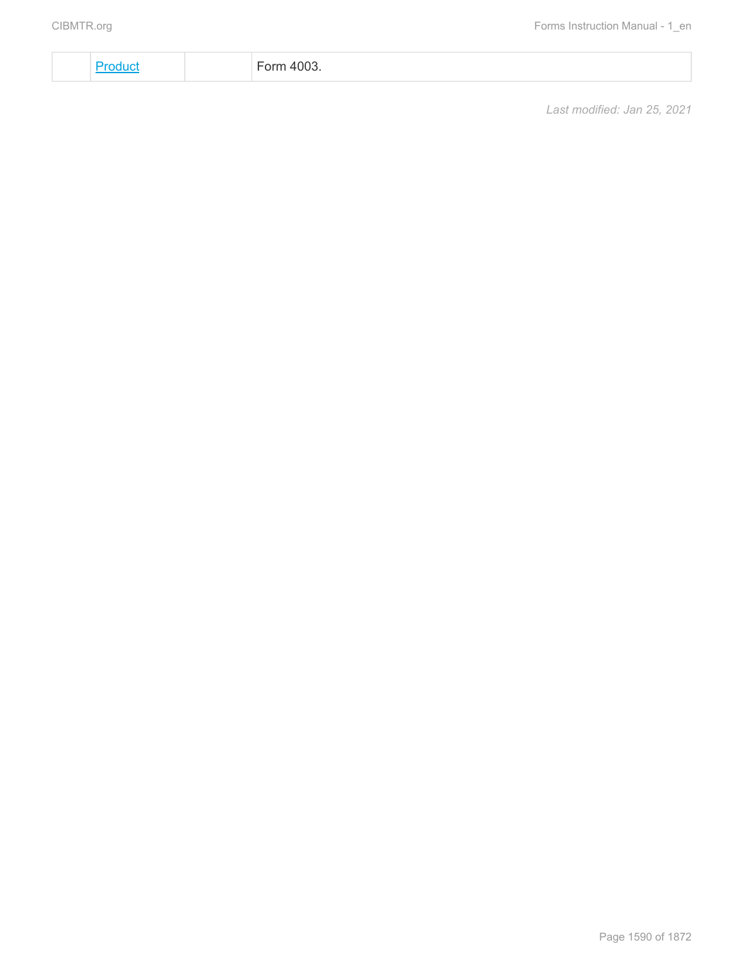[Product](#page-0-0) Form 4003.

*Last modified: Jan 25, 2021*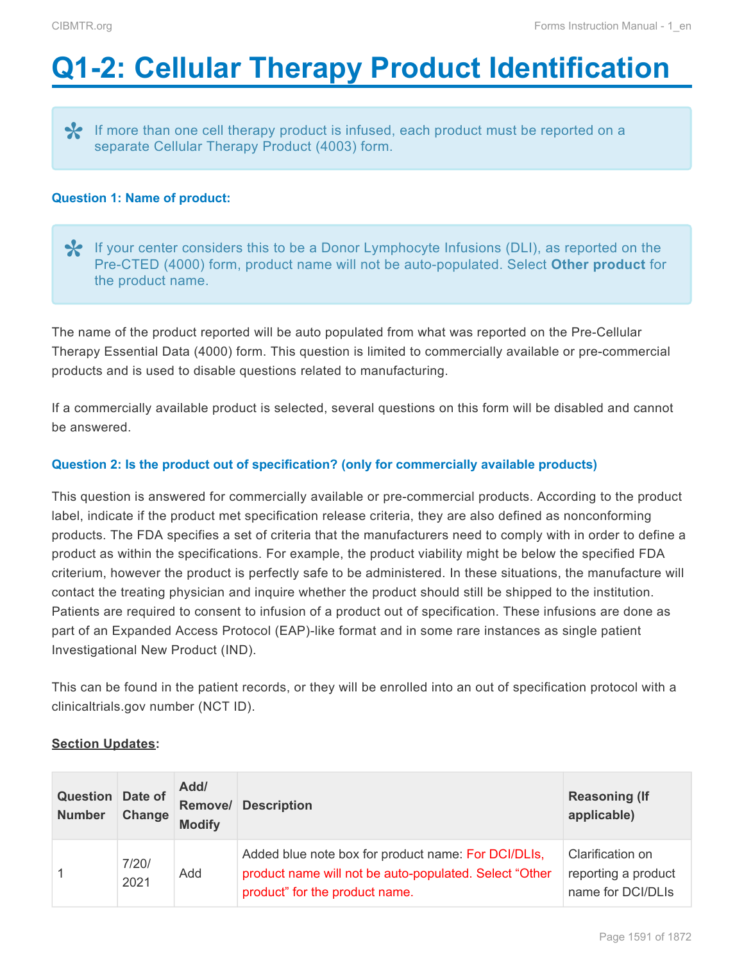# <span id="page-2-0"></span>**Q1-2: Cellular Therapy Product Identification**

If more than one cell therapy product is infused, each product must be reported on a separate Cellular Therapy Product (4003) form.

# **Question 1: Name of product:**

◆ If your center considers this to be a Donor Lymphocyte Infusions (DLI), as reported on the Pre-CTED (4000) form, product name will not be auto-populated. Select Other product for the product name. Pre-CTED (4000) form, product name will not be auto-populated. Select **Other product** for the product name.

The name of the product reported will be auto populated from what was reported on the Pre-Cellular Therapy Essential Data (4000) form. This question is limited to commercially available or pre-commercial products and is used to disable questions related to manufacturing.

If a commercially available product is selected, several questions on this form will be disabled and cannot be answered.

# **Question 2: Is the product out of specification? (only for commercially available products)**

This question is answered for commercially available or pre-commercial products. According to the product label, indicate if the product met specification release criteria, they are also defined as nonconforming products. The FDA specifies a set of criteria that the manufacturers need to comply with in order to define a product as within the specifications. For example, the product viability might be below the specified FDA criterium, however the product is perfectly safe to be administered. In these situations, the manufacture will contact the treating physician and inquire whether the product should still be shipped to the institution. Patients are required to consent to infusion of a product out of specification. These infusions are done as part of an Expanded Access Protocol (EAP)-like format and in some rare instances as single patient Investigational New Product (IND).

This can be found in the patient records, or they will be enrolled into an out of specification protocol with a clinicaltrials.gov number (NCT ID).

# **Section Updates:**

| <b>Question</b> Date of<br><b>Number</b> | Change        | Add/<br><b>Modify</b> | <b>Remove/ Description</b>                                                                                                                      | <b>Reasoning (If</b><br>applicable)                          |
|------------------------------------------|---------------|-----------------------|-------------------------------------------------------------------------------------------------------------------------------------------------|--------------------------------------------------------------|
| $\mathbf{1}$                             | 7/20/<br>2021 | Add                   | Added blue note box for product name: For DCI/DLIs,<br>product name will not be auto-populated. Select "Other<br>product" for the product name. | Clarification on<br>reporting a product<br>name for DCI/DLIs |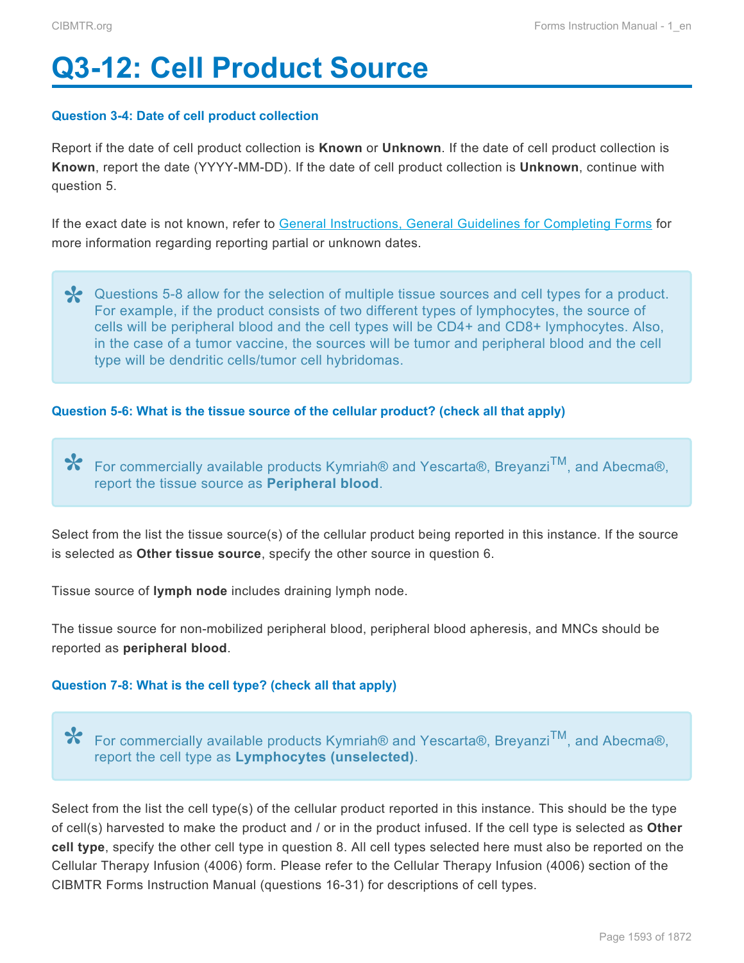# <span id="page-3-0"></span>**Q3-12: Cell Product Source**

# **Question 3-4: Date of cell product collection**

Report if the date of cell product collection is **Known** or **Unknown**. If the date of cell product collection is **Known**, report the date (YYYY-MM-DD). If the date of cell product collection is **Unknown**, continue with question 5.

If the exact date is not known, refer to General Instructions, General Guidelines for Completing Forms for more information regarding reporting partial or unknown dates.

**X** Questions 5-8 allow for the selection of multiple tissue sources and cell types for a product.<br>For example, if the product consists of two different types of lymphocytes, the source of For example, if the product consists of two different types of lymphocytes, the source of cells will be peripheral blood and the cell types will be CD4+ and CD8+ lymphocytes. Also, in the case of a tumor vaccine, the sources will be tumor and peripheral blood and the cell type will be dendritic cells/tumor cell hybridomas.

# **Question 5-6: What is the tissue source of the cellular product? (check all that apply)**

For commercially available products Kymriah® and Yescarta®, BreyanziTM, and Abecma®, **\*** report the tissue source as **Peripheral blood**.

Select from the list the tissue source(s) of the cellular product being reported in this instance. If the source is selected as **Other tissue source**, specify the other source in question 6.

Tissue source of **lymph node** includes draining lymph node.

The tissue source for non-mobilized peripheral blood, peripheral blood apheresis, and MNCs should be reported as **peripheral blood**.

# **Question 7-8: What is the cell type? (check all that apply)**

For commercially available products Kymriah® and Yescarta®, BreyanziTM, and Abecma®, **\*** report the cell type as **Lymphocytes (unselected)**.

Select from the list the cell type(s) of the cellular product reported in this instance. This should be the type of cell(s) harvested to make the product and / or in the product infused. If the cell type is selected as **Other cell type**, specify the other cell type in question 8. All cell types selected here must also be reported on the Cellular Therapy Infusion (4006) form. Please refer to the Cellular Therapy Infusion (4006) section of the CIBMTR Forms Instruction Manual (questions 16-31) for descriptions of cell types.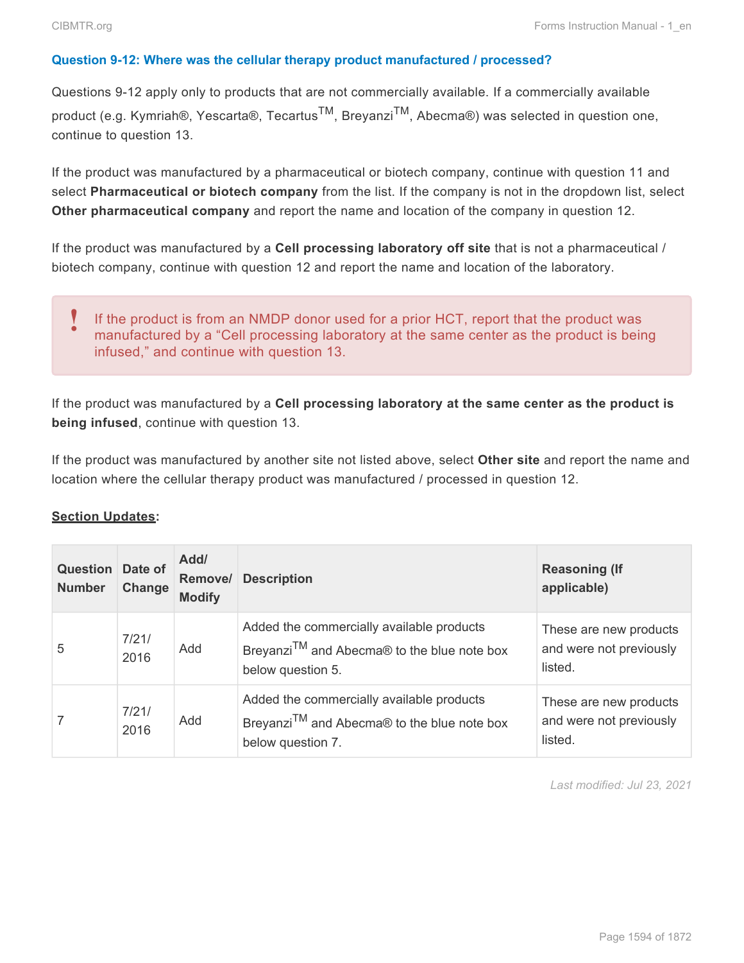# **Question 9-12: Where was the cellular therapy product manufactured / processed?**

Questions 9-12 apply only to products that are not commercially available. If a commercially available product (e.g. Kymriah®, Yescarta®, Tecartus<sup>TM</sup>, Breyanzi<sup>TM</sup>, Abecma®) was selected in question one, continue to question 13.

If the product was manufactured by a pharmaceutical or biotech company, continue with question 11 and select **Pharmaceutical or biotech company** from the list. If the company is not in the dropdown list, select **Other pharmaceutical company** and report the name and location of the company in question 12.

If the product was manufactured by a **Cell processing laboratory off site** that is not a pharmaceutical / biotech company, continue with question 12 and report the name and location of the laboratory.

#### If the product is from an NMDP donor used for a prior HCT, report that the product was manufactured by a "Cell processing laboratory at the same center as the product is being infused," and continue with question 13. **!**

If the product was manufactured by a **Cell processing laboratory at the same center as the product is being infused**, continue with question 13.

If the product was manufactured by another site not listed above, select **Other site** and report the name and location where the cellular therapy product was manufactured / processed in question 12.

# **Section Updates:**

| <b>Question Date of</b><br><b>Number</b> | Change        | Add/<br><b>Modify</b> | <b>Remove/ Description</b>                                                                                                | <b>Reasoning (If</b><br>applicable)                          |
|------------------------------------------|---------------|-----------------------|---------------------------------------------------------------------------------------------------------------------------|--------------------------------------------------------------|
| 5                                        | 7/21/<br>2016 | Add                   | Added the commercially available products<br>Breyanzi <sup>TM</sup> and Abecma® to the blue note box<br>below question 5. | These are new products<br>and were not previously<br>listed. |
|                                          | 7/21/<br>2016 | Add                   | Added the commercially available products<br>Breyanzi <sup>TM</sup> and Abecma® to the blue note box<br>below question 7. | These are new products<br>and were not previously<br>listed. |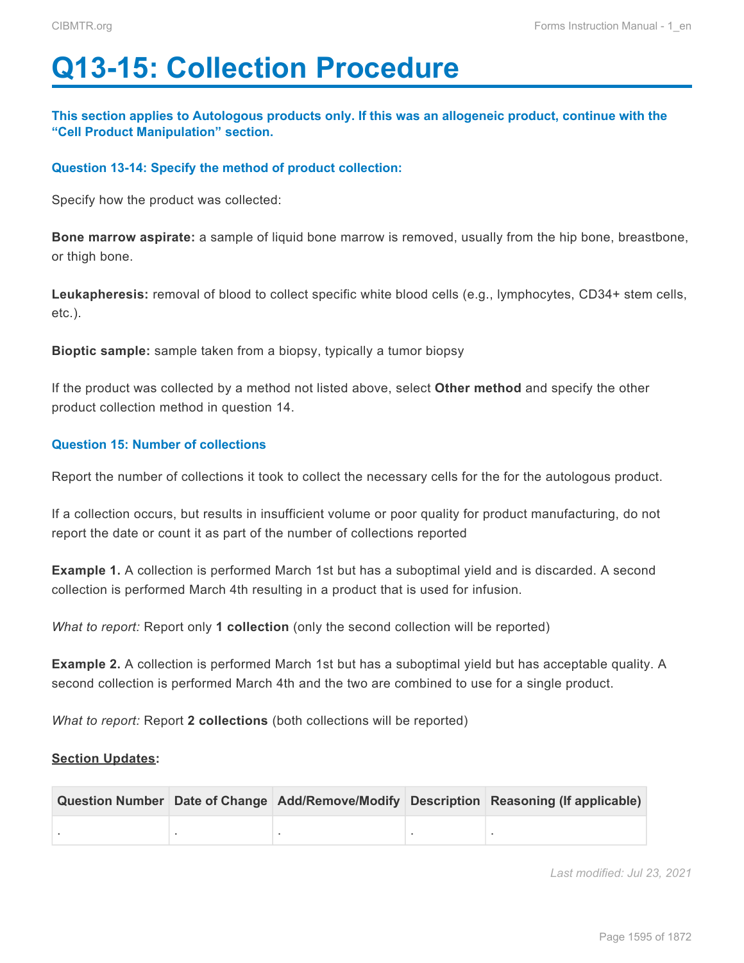# <span id="page-5-0"></span>**Q13-15: Collection Procedure**

**This section applies to Autologous products only. If this was an allogeneic product, continue with the "Cell Product Manipulation" section.**

# **Question 13-14: Specify the method of product collection:**

Specify how the product was collected:

**Bone marrow aspirate:** a sample of liquid bone marrow is removed, usually from the hip bone, breastbone, or thigh bone.

Leukapheresis: removal of blood to collect specific white blood cells (e.g., lymphocytes, CD34+ stem cells, etc.).

**Bioptic sample:** sample taken from a biopsy, typically a tumor biopsy

If the product was collected by a method not listed above, select **Other method** and specify the other product collection method in question 14.

# **Question 15: Number of collections**

Report the number of collections it took to collect the necessary cells for the for the autologous product.

If a collection occurs, but results in insufficient volume or poor quality for product manufacturing, do not report the date or count it as part of the number of collections reported

**Example 1.** A collection is performed March 1st but has a suboptimal yield and is discarded. A second collection is performed March 4th resulting in a product that is used for infusion.

*What to report:* Report only **1 collection** (only the second collection will be reported)

**Example 2.** A collection is performed March 1st but has a suboptimal yield but has acceptable quality. A second collection is performed March 4th and the two are combined to use for a single product.

*What to report:* Report **2 collections** (both collections will be reported)

# **Section Updates:**

|  |  | Question Number Date of Change Add/Remove/Modify Description Reasoning (If applicable) |
|--|--|----------------------------------------------------------------------------------------|
|  |  |                                                                                        |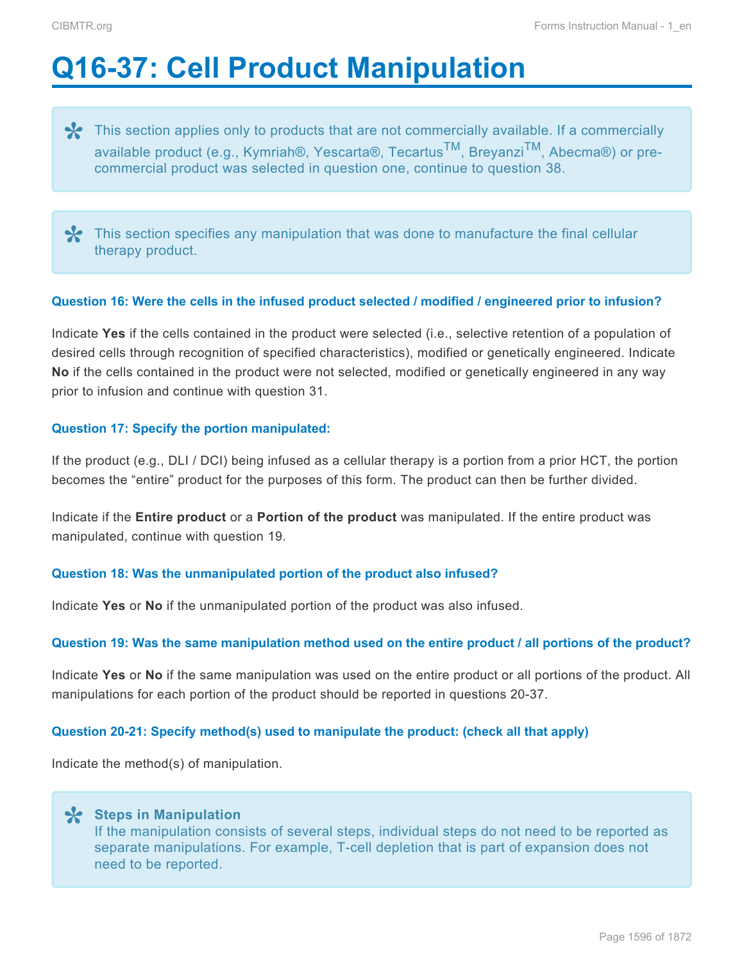# <span id="page-6-0"></span>**Q16-37: Cell Product Manipulation**

**\*** This section applies only to products that are not commercially available. If a commercially available product (e.g., Kymriah®, Yescarta®, Tecartus<sup>TM</sup>, Breyanzi<sup>TM</sup>, Abecma®) or preavailable product (e.g., Kymriah®, Yescarta®, Tecartus<sup>TM</sup>, Breyanzi<sup>TM</sup>, Abecma®) or precommercial product was selected in question one, continue to question 38.

This section specifies any manipulation that was done to manufacture the final cellular therapy product.

#### **Question 16: Were the cells in the infused product selected / modified / engineered prior to infusion?**

Indicate **Yes** if the cells contained in the product were selected (i.e., selective retention of a population of desired cells through recognition of specified characteristics), modified or genetically engineered. Indicate **No** if the cells contained in the product were not selected, modified or genetically engineered in any way prior to infusion and continue with question 31.

# **Question 17: Specify the portion manipulated:**

If the product (e.g., DLI / DCI) being infused as a cellular therapy is a portion from a prior HCT, the portion becomes the "entire" product for the purposes of this form. The product can then be further divided.

Indicate if the **Entire product** or a **Portion of the product** was manipulated. If the entire product was manipulated, continue with question 19.

# **Question 18: Was the unmanipulated portion of the product also infused?**

Indicate **Yes** or **No** if the unmanipulated portion of the product was also infused.

#### **Question 19: Was the same manipulation method used on the entire product / all portions of the product?**

Indicate **Yes** or **No** if the same manipulation was used on the entire product or all portions of the product. All manipulations for each portion of the product should be reported in questions 20-37.

#### **Question 20-21: Specify method(s) used to manipulate the product: (check all that apply)**

Indicate the method(s) of manipulation.

**Steps in Manipulation \*** If the manipulation consists of several steps, individual steps do not need to be reported as separate manipulations. For example, T-cell depletion that is part of expansion does not need to be reported.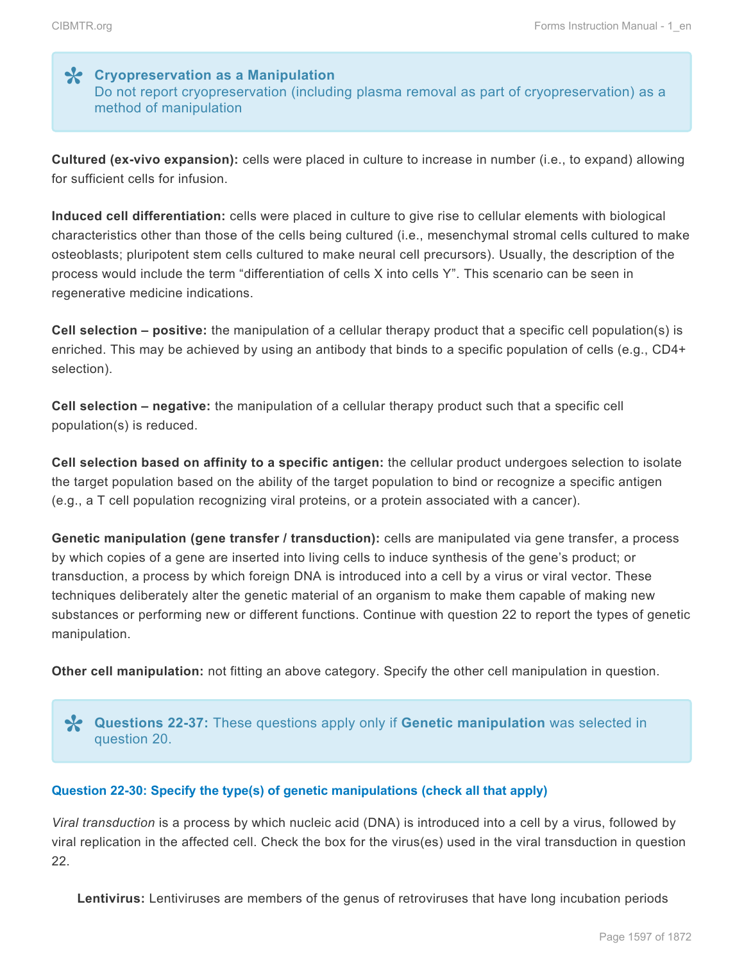# **Cryopreservation as a Manipulation \*** Do not report cryopreservation (including plasma removal as part of cryopreservation) as a method of manipulation

**Cultured (ex-vivo expansion):** cells were placed in culture to increase in number (i.e., to expand) allowing for sufficient cells for infusion.

**Induced cell differentiation:** cells were placed in culture to give rise to cellular elements with biological characteristics other than those of the cells being cultured (i.e., mesenchymal stromal cells cultured to make osteoblasts; pluripotent stem cells cultured to make neural cell precursors). Usually, the description of the process would include the term "differentiation of cells X into cells Y". This scenario can be seen in regenerative medicine indications.

**Cell selection – positive:** the manipulation of a cellular therapy product that a specific cell population(s) is enriched. This may be achieved by using an antibody that binds to a specific population of cells (e.g., CD4+ selection).

**Cell selection – negative:** the manipulation of a cellular therapy product such that a specific cell population(s) is reduced.

**Cell selection based on affinity to a specific antigen:** the cellular product undergoes selection to isolate the target population based on the ability of the target population to bind or recognize a specific antigen (e.g., a T cell population recognizing viral proteins, or a protein associated with a cancer).

**Genetic manipulation (gene transfer / transduction):** cells are manipulated via gene transfer, a process by which copies of a gene are inserted into living cells to induce synthesis of the gene's product; or transduction, a process by which foreign DNA is introduced into a cell by a virus or viral vector. These techniques deliberately alter the genetic material of an organism to make them capable of making new substances or performing new or different functions. Continue with question 22 to report the types of genetic manipulation.

**Other cell manipulation:** not fitting an above category. Specify the other cell manipulation in question.

**Questions 22-37:** These questions apply only if **Genetic manipulation** was selected in **\*** question 20.

# **Question 22-30: Specify the type(s) of genetic manipulations (check all that apply)**

*Viral transduction* is a process by which nucleic acid (DNA) is introduced into a cell by a virus, followed by viral replication in the affected cell. Check the box for the virus(es) used in the viral transduction in question 22.

**Lentivirus:** Lentiviruses are members of the genus of retroviruses that have long incubation periods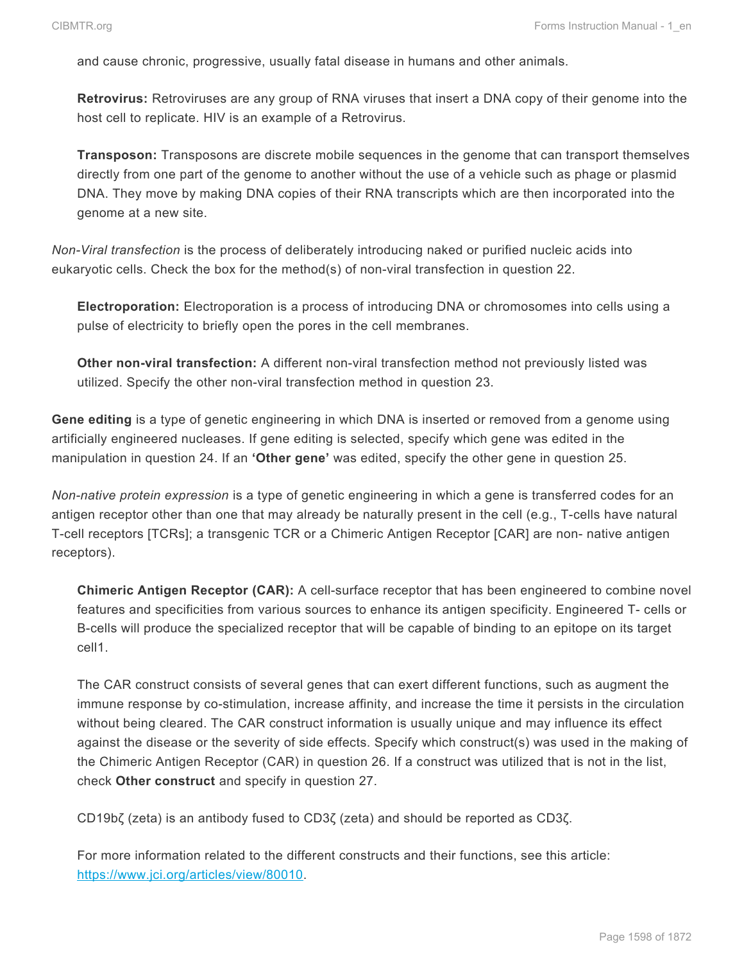and cause chronic, progressive, usually fatal disease in humans and other animals.

**Retrovirus:** Retroviruses are any group of RNA viruses that insert a DNA copy of their genome into the host cell to replicate. HIV is an example of a Retrovirus.

**Transposon:** Transposons are discrete mobile sequences in the genome that can transport themselves directly from one part of the genome to another without the use of a vehicle such as phage or plasmid DNA. They move by making DNA copies of their RNA transcripts which are then incorporated into the genome at a new site.

*Non-Viral transfection* is the process of deliberately introducing naked or purified nucleic acids into eukaryotic cells. Check the box for the method(s) of non-viral transfection in question 22.

**Electroporation:** Electroporation is a process of introducing DNA or chromosomes into cells using a pulse of electricity to briefly open the pores in the cell membranes.

**Other non-viral transfection:** A different non-viral transfection method not previously listed was utilized. Specify the other non-viral transfection method in question 23.

**Gene editing** is a type of genetic engineering in which DNA is inserted or removed from a genome using artificially engineered nucleases. If gene editing is selected, specify which gene was edited in the manipulation in question 24. If an **'Other gene'** was edited, specify the other gene in question 25.

*Non-native protein expression* is a type of genetic engineering in which a gene is transferred codes for an antigen receptor other than one that may already be naturally present in the cell (e.g., T-cells have natural T-cell receptors [TCRs]; a transgenic TCR or a Chimeric Antigen Receptor [CAR] are non- native antigen receptors).

**Chimeric Antigen Receptor (CAR):** A cell-surface receptor that has been engineered to combine novel features and specificities from various sources to enhance its antigen specificity. Engineered T- cells or B-cells will produce the specialized receptor that will be capable of binding to an epitope on its target cell1.

The CAR construct consists of several genes that can exert different functions, such as augment the immune response by co-stimulation, increase affinity, and increase the time it persists in the circulation without being cleared. The CAR construct information is usually unique and may influence its effect against the disease or the severity of side effects. Specify which construct(s) was used in the making of the Chimeric Antigen Receptor (CAR) in question 26. If a construct was utilized that is not in the list, check **Other construct** and specify in question 27.

CD19bζ (zeta) is an antibody fused to CD3ζ (zeta) and should be reported as CD3ζ.

For more information related to the different constructs and their functions, see this article: [https://www.jci.org/articles/view/80010.](http://www.jci.org/articles/view/80010)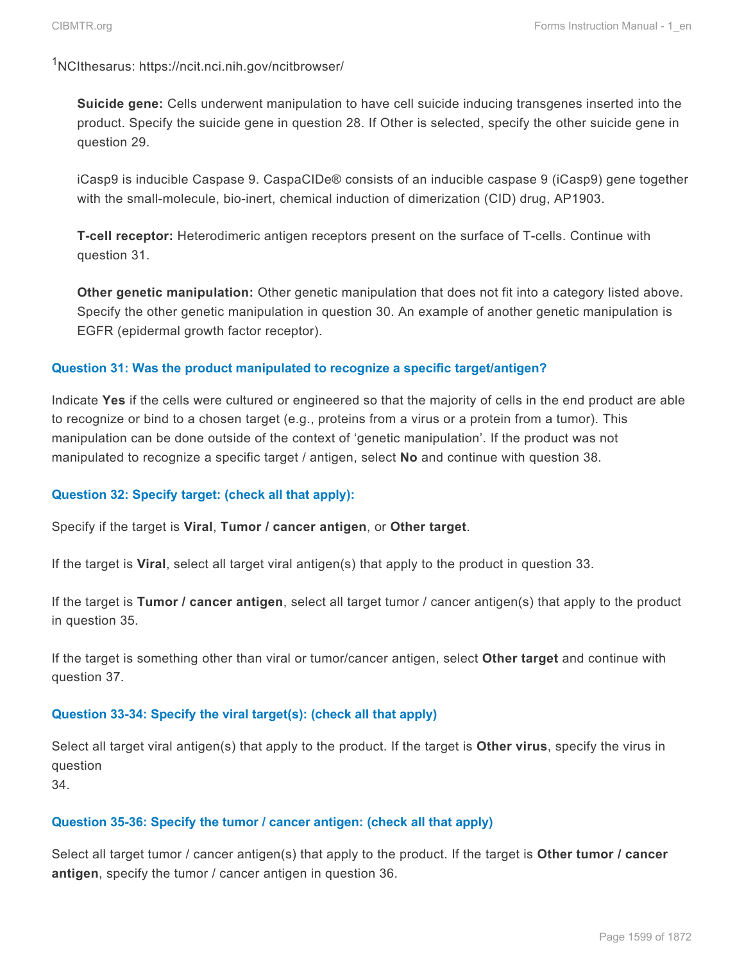<sup>1</sup>NCIthesarus: https://ncit.nci.nih.gov/ncitbrowser/

**Suicide gene:** Cells underwent manipulation to have cell suicide inducing transgenes inserted into the product. Specify the suicide gene in question 28. If Other is selected, specify the other suicide gene in question 29.

iCasp9 is inducible Caspase 9. CaspaCIDe® consists of an inducible caspase 9 (iCasp9) gene together with the small-molecule, bio-inert, chemical induction of dimerization (CID) drug, AP1903.

**T-cell receptor:** Heterodimeric antigen receptors present on the surface of T-cells. Continue with question 31.

**Other genetic manipulation:** Other genetic manipulation that does not fit into a category listed above. Specify the other genetic manipulation in question 30. An example of another genetic manipulation is EGFR (epidermal growth factor receptor).

# **Question 31: Was the product manipulated to recognize a specific target/antigen?**

Indicate **Yes** if the cells were cultured or engineered so that the majority of cells in the end product are able to recognize or bind to a chosen target (e.g., proteins from a virus or a protein from a tumor). This manipulation can be done outside of the context of 'genetic manipulation'. If the product was not manipulated to recognize a specific target / antigen, select **No** and continue with question 38.

# **Question 32: Specify target: (check all that apply):**

Specify if the target is **Viral**, **Tumor / cancer antigen**, or **Other target**.

If the target is **Viral**, select all target viral antigen(s) that apply to the product in question 33.

If the target is **Tumor / cancer antigen**, select all target tumor / cancer antigen(s) that apply to the product in question 35.

If the target is something other than viral or tumor/cancer antigen, select **Other target** and continue with question 37.

# **Question 33-34: Specify the viral target(s): (check all that apply)**

Select all target viral antigen(s) that apply to the product. If the target is **Other virus**, specify the virus in question

34.

# **Question 35-36: Specify the tumor / cancer antigen: (check all that apply)**

Select all target tumor / cancer antigen(s) that apply to the product. If the target is **Other tumor / cancer antigen**, specify the tumor / cancer antigen in question 36.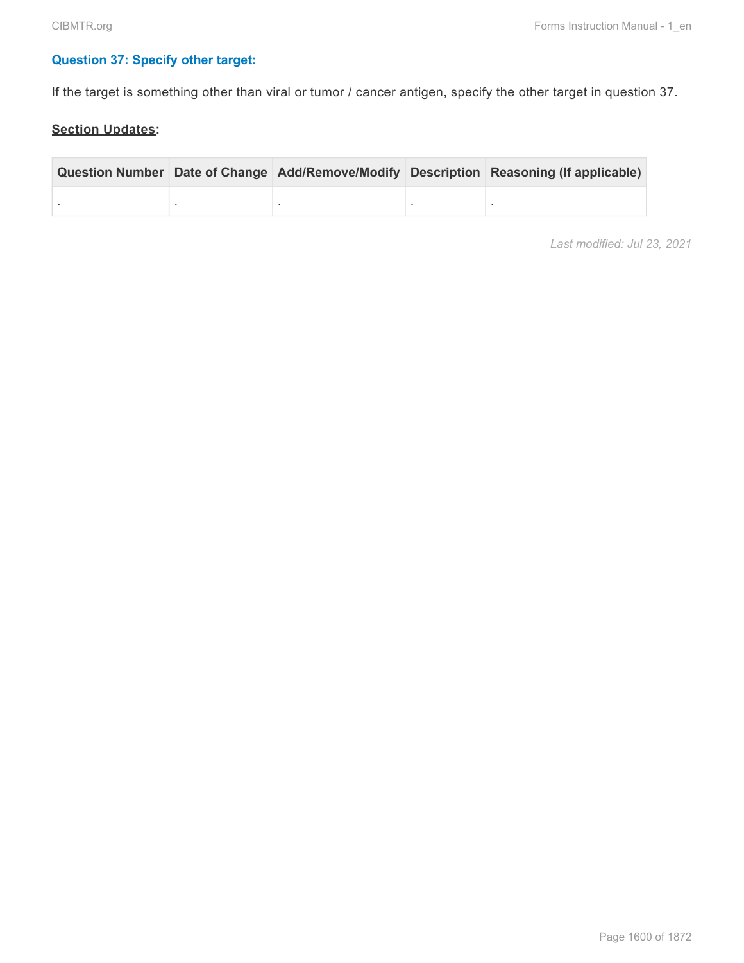# **Question 37: Specify other target:**

If the target is something other than viral or tumor / cancer antigen, specify the other target in question 37.

# **Section Updates:**

|  |  | Question Number Date of Change Add/Remove/Modify Description Reasoning (If applicable) |
|--|--|----------------------------------------------------------------------------------------|
|  |  |                                                                                        |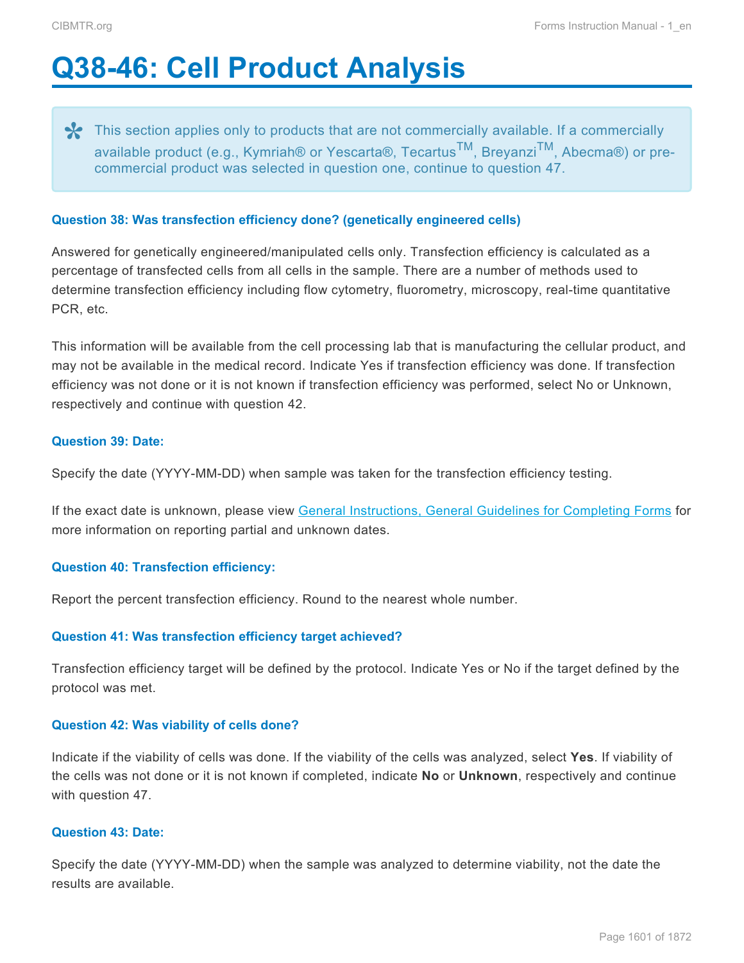# <span id="page-11-0"></span>**Q38-46: Cell Product Analysis**

**\*** This section applies only to products that are not commercially available. If a commercially available product (e.g., Kymriah® or Yescarta®, Tecartus<sup>TM</sup>, Breyanzi<sup>TM</sup>, Abecma®) or pro available product (e.g., Kymriah® or Yescarta®, Tecartus<sup>™</sup>, Breyanzi<sup>™</sup>, Abecma®) or precommercial product was selected in question one, continue to question 47.

# **Question 38: Was transfection efficiency done? (genetically engineered cells)**

Answered for genetically engineered/manipulated cells only. Transfection efficiency is calculated as a percentage of transfected cells from all cells in the sample. There are a number of methods used to determine transfection efficiency including flow cytometry, fluorometry, microscopy, real-time quantitative PCR, etc.

This information will be available from the cell processing lab that is manufacturing the cellular product, and may not be available in the medical record. Indicate Yes if transfection efficiency was done. If transfection efficiency was not done or it is not known if transfection efficiency was performed, select No or Unknown, respectively and continue with question 42.

# **Question 39: Date:**

Specify the date (YYYY-MM-DD) when sample was taken for the transfection efficiency testing.

If the exact date is unknown, please view General Instructions, General Guidelines for Completing Forms for more information on reporting partial and unknown dates.

# **Question 40: Transfection efficiency:**

Report the percent transfection efficiency. Round to the nearest whole number.

# **Question 41: Was transfection efficiency target achieved?**

Transfection efficiency target will be defined by the protocol. Indicate Yes or No if the target defined by the protocol was met.

# **Question 42: Was viability of cells done?**

Indicate if the viability of cells was done. If the viability of the cells was analyzed, select **Yes**. If viability of the cells was not done or it is not known if completed, indicate **No** or **Unknown**, respectively and continue with question 47.

# **Question 43: Date:**

Specify the date (YYYY-MM-DD) when the sample was analyzed to determine viability, not the date the results are available.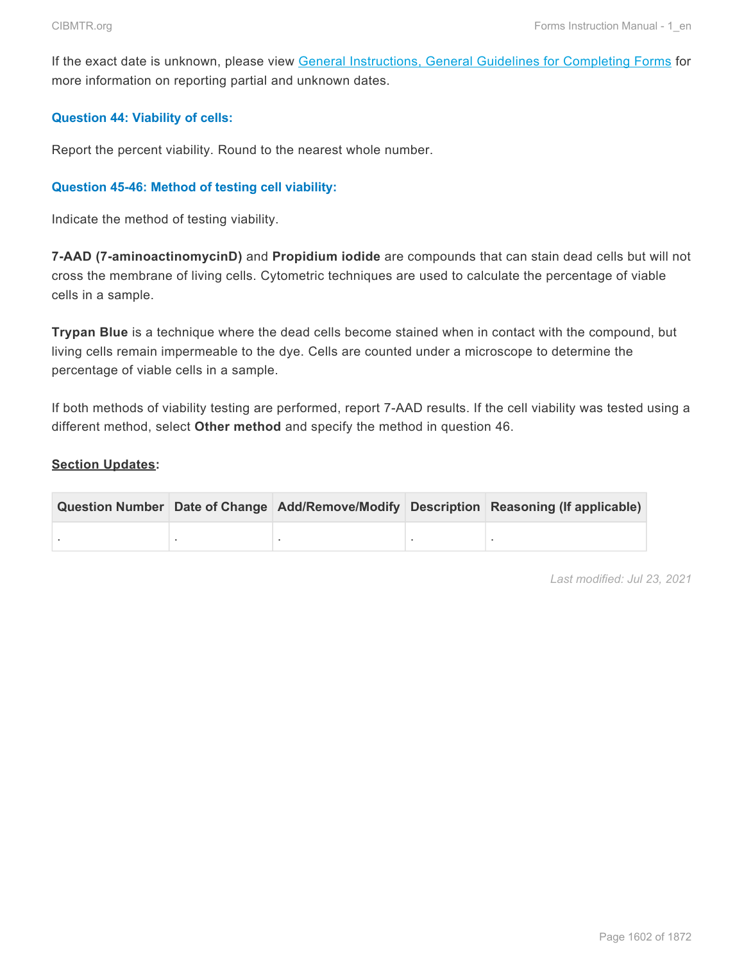If the exact date is unknown, please view General Instructions, General Guidelines for Completing Forms for more information on reporting partial and unknown dates.

# **Question 44: Viability of cells:**

Report the percent viability. Round to the nearest whole number.

# **Question 45-46: Method of testing cell viability:**

Indicate the method of testing viability.

**7-AAD (7-aminoactinomycinD)** and **Propidium iodide** are compounds that can stain dead cells but will not cross the membrane of living cells. Cytometric techniques are used to calculate the percentage of viable cells in a sample.

**Trypan Blue** is a technique where the dead cells become stained when in contact with the compound, but living cells remain impermeable to the dye. Cells are counted under a microscope to determine the percentage of viable cells in a sample.

If both methods of viability testing are performed, report 7-AAD results. If the cell viability was tested using a different method, select **Other method** and specify the method in question 46.

# **Section Updates:**

|  |  | Question Number Date of Change Add/Remove/Modify Description Reasoning (If applicable) |
|--|--|----------------------------------------------------------------------------------------|
|  |  |                                                                                        |